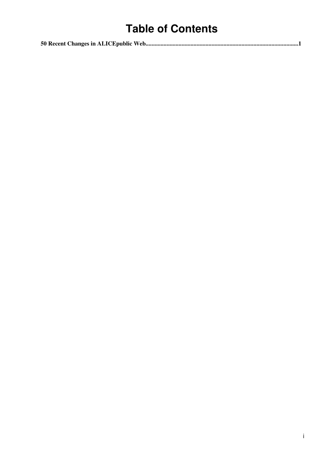# **Table of Contents**

|--|--|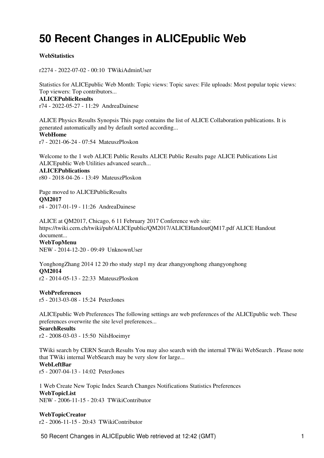# <span id="page-1-0"></span>**50 Recent Changes in ALICEpublic Web**

### **[WebStatistics](https://twiki.cern.ch/twiki/bin/view/ALICEpublic/WebStatistics)**

r2274 - [2022-07-02 - 00:10](https://twiki.cern.ch/twiki/bin/rdiff/ALICEpublic/WebStatistics) [TWikiAdminUser](https://twiki.cern.ch/twiki/bin/view/Main/TWikiAdminUser)

Statistics for ALICEpublic Web Month: Topic views: Topic saves: File uploads: Most popular topic views: Top viewers: Top contributors... **[ALICEPublicResults](https://twiki.cern.ch/twiki/bin/view/ALICEpublic/ALICEPublicResults)** r74 - [2022-05-27 - 11:29](https://twiki.cern.ch/twiki/bin/rdiff/ALICEpublic/ALICEPublicResults) [AndreaDainese](https://twiki.cern.ch/twiki/bin/view/Main/AndreaDainese)

ALICE Physics Results Synopsis This page contains the list of ALICE Collaboration publications. It is generated automatically and by default sorted according... **[WebHome](https://twiki.cern.ch/twiki/bin/view/ALICEpublic/WebHome)**

r7 - [2021-06-24 - 07:54](https://twiki.cern.ch/twiki/bin/rdiff/ALICEpublic/WebHome) [MateuszPloskon](https://twiki.cern.ch/twiki/bin/view/Main/MateuszPloskon)

Welcome to the 1 web ALICE Public Results ALICE Public Results page ALICE Publications List ALICEpublic Web Utilities advanced search... **[ALICEPublications](https://twiki.cern.ch/twiki/bin/view/ALICEpublic/ALICEPublications)** r80 - [2018-04-26 - 13:49](https://twiki.cern.ch/twiki/bin/rdiff/ALICEpublic/ALICEPublications) [MateuszPloskon](https://twiki.cern.ch/twiki/bin/view/Main/MateuszPloskon)

Page moved to ALICEPublicResults **[QM2017](https://twiki.cern.ch/twiki/bin/view/ALICEpublic/QM2017)** r4 - [2017-01-19 - 11:26](https://twiki.cern.ch/twiki/bin/rdiff/ALICEpublic/QM2017) [AndreaDainese](https://twiki.cern.ch/twiki/bin/view/Main/AndreaDainese)

ALICE at QM2017, Chicago, 6 11 February 2017 Conference web site: https://twiki.cern.ch/twiki/pub/ALICEpublic/QM2017/ALICEHandoutQM17.pdf ALICE Handout document... **[WebTopMenu](https://twiki.cern.ch/twiki/bin/view/ALICEpublic/WebTopMenu)**

NEW - [2014-12-20 - 09:49](https://twiki.cern.ch/twiki/bin/rdiff/ALICEpublic/WebTopMenu) [UnknownUser](https://twiki.cern.ch/twiki/bin/view/Main/UnknownUser)

YonghongZhang 2014 12 20 rho study step1 my dear zhangyonghong zhangyonghong **[QM2014](https://twiki.cern.ch/twiki/bin/view/ALICEpublic/QM2014)** r2 - [2014-05-13 - 22:33](https://twiki.cern.ch/twiki/bin/rdiff/ALICEpublic/QM2014) [MateuszPloskon](https://twiki.cern.ch/twiki/bin/view/Main/MateuszPloskon)

**[WebPreferences](https://twiki.cern.ch/twiki/bin/view/ALICEpublic/WebPreferences)** r5 - [2013-03-08 - 15:24](https://twiki.cern.ch/twiki/bin/rdiff/ALICEpublic/WebPreferences) [PeterJones](https://twiki.cern.ch/twiki/bin/view/Main/PeterJones)

ALICEpublic Web Preferences The following settings are web preferences of the ALICEpublic web. These preferences overwrite the site level preferences...

### **[SearchResults](https://twiki.cern.ch/twiki/bin/view/ALICEpublic/SearchResults)**

r2 - [2008-03-03 - 15:50](https://twiki.cern.ch/twiki/bin/rdiff/ALICEpublic/SearchResults) [NilsHoeimyr](https://twiki.cern.ch/twiki/bin/view/Main/NilsHoeimyr)

TWiki search by CERN Search Results You may also search with the internal TWiki WebSearch . Please note that TWiki internal WebSearch may be very slow for large...

#### **[WebLeftBar](https://twiki.cern.ch/twiki/bin/view/ALICEpublic/WebLeftBar)**

r5 - [2007-04-13 - 14:02](https://twiki.cern.ch/twiki/bin/rdiff/ALICEpublic/WebLeftBar) [PeterJones](https://twiki.cern.ch/twiki/bin/view/Main/PeterJones)

1 Web Create New Topic Index Search Changes Notifications Statistics Preferences **[WebTopicList](https://twiki.cern.ch/twiki/bin/view/ALICEpublic/WebTopicList)** NEW - [2006-11-15 - 20:43](https://twiki.cern.ch/twiki/bin/rdiff/ALICEpublic/WebTopicList) [TWikiContributor](https://twiki.cern.ch/twiki/bin/view/Main/TWikiContributor)

**[WebTopicCreator](https://twiki.cern.ch/twiki/bin/view/ALICEpublic/WebTopicCreator)** r2 - [2006-11-15 - 20:43](https://twiki.cern.ch/twiki/bin/rdiff/ALICEpublic/WebTopicCreator) [TWikiContributor](https://twiki.cern.ch/twiki/bin/view/Main/TWikiContributor)

50 Recent Changes in ALICEpublic Web retrieved at 12:42 (GMT) 1